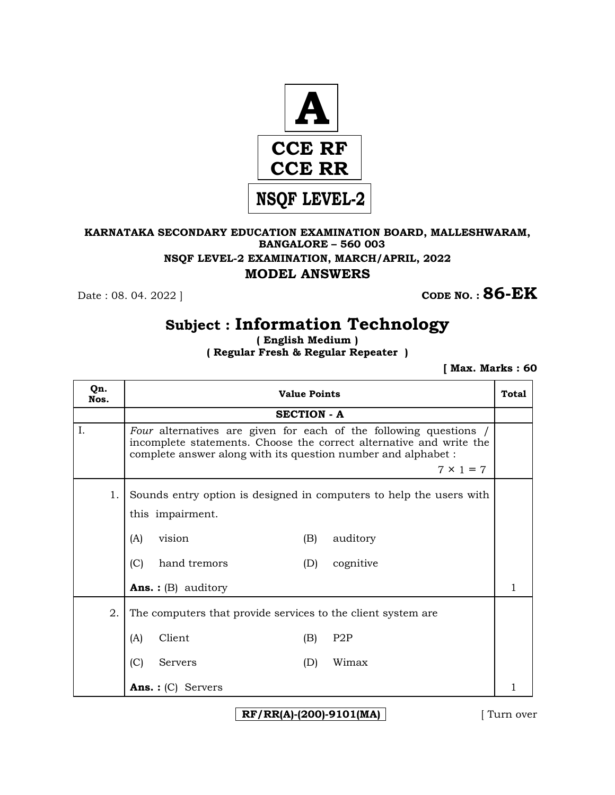

### **KARNATAKA SECONDARY EDUCATION EXAMINATION BOARD, MALLESHWARAM, BANGALORE – 560 003 NSQF LEVEL-2 EXAMINATION, MARCH/APRIL, 2022 MODEL ANSWERS**

**Date : 08. 04. 2022 ] CODE NO. : 86-EK** 

# **Subject : Information Technology**

**( English Medium ) ( Regular Fresh & Regular Repeater )**

 **[ Max. Marks : 60** 

| Qn.<br>Nos. | <b>Value Points</b>                                                                                                                                                                                                           |  |  |  |  |  |
|-------------|-------------------------------------------------------------------------------------------------------------------------------------------------------------------------------------------------------------------------------|--|--|--|--|--|
|             | <b>SECTION - A</b>                                                                                                                                                                                                            |  |  |  |  |  |
| Ι.          | Four alternatives are given for each of the following questions /<br>incomplete statements. Choose the correct alternative and write the<br>complete answer along with its question number and alphabet :<br>$7 \times 1 = 7$ |  |  |  |  |  |
| 1.          | Sounds entry option is designed in computers to help the users with<br>this impairment.<br>(A)<br>vision<br>(B)<br>auditory<br>(C)<br>hand tremors<br>cognitive<br>(D)                                                        |  |  |  |  |  |
|             | <b>Ans.</b> : $(B)$ auditory                                                                                                                                                                                                  |  |  |  |  |  |
| 2.          | The computers that provide services to the client system are.                                                                                                                                                                 |  |  |  |  |  |
|             | Client<br>(A)<br>P <sub>2</sub> P<br>(B)                                                                                                                                                                                      |  |  |  |  |  |
|             | (C)<br>Wimax<br>(D)<br>Servers                                                                                                                                                                                                |  |  |  |  |  |
|             | Ans. : $(C)$<br>Servers                                                                                                                                                                                                       |  |  |  |  |  |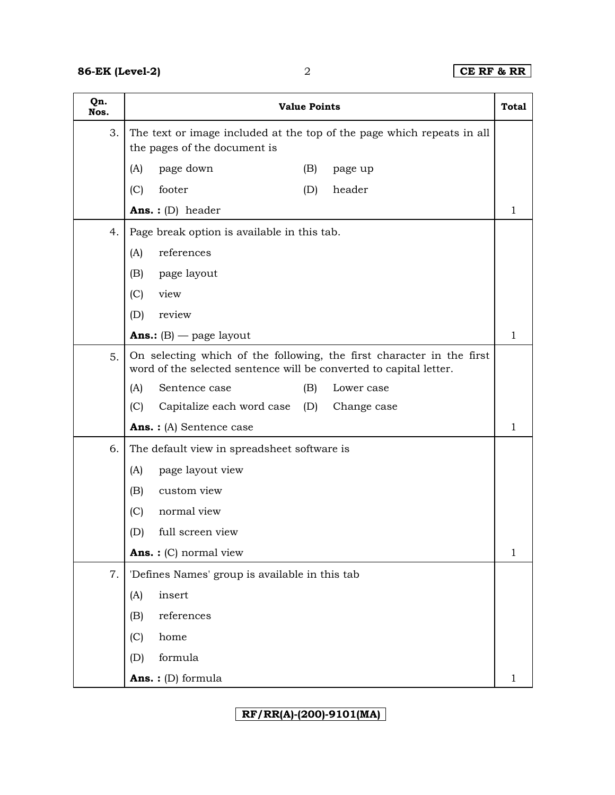| Qn.<br>Nos. | <b>Value Points</b>                                                                                                                         |   |  |
|-------------|---------------------------------------------------------------------------------------------------------------------------------------------|---|--|
| 3.          | The text or image included at the top of the page which repeats in all<br>the pages of the document is                                      |   |  |
|             | page down<br>(A)<br>(B)<br>page up                                                                                                          |   |  |
|             | (C)<br>footer<br>header<br>(D)                                                                                                              |   |  |
|             | Ans.: (D) header                                                                                                                            | 1 |  |
| 4.          | Page break option is available in this tab.                                                                                                 |   |  |
|             | references<br>(A)                                                                                                                           |   |  |
|             | page layout<br>(B)                                                                                                                          |   |  |
|             | view<br>(C)                                                                                                                                 |   |  |
|             | review<br>(D)                                                                                                                               |   |  |
|             | <b>Ans.:</b> $(B)$ — page layout                                                                                                            | 1 |  |
| 5.          | On selecting which of the following, the first character in the first<br>word of the selected sentence will be converted to capital letter. |   |  |
|             | (B)<br>(A)<br>Sentence case<br>Lower case                                                                                                   |   |  |
|             | (C)<br>Capitalize each word case<br>(D)<br>Change case                                                                                      |   |  |
|             | Ans.: (A) Sentence case                                                                                                                     | 1 |  |
| 6.          | The default view in spreadsheet software is                                                                                                 |   |  |
|             | page layout view<br>(A)                                                                                                                     |   |  |
|             | (B)<br>custom view                                                                                                                          |   |  |
|             | normal view<br>(C)                                                                                                                          |   |  |
|             | full screen view<br>(D)                                                                                                                     |   |  |
|             | <b>Ans.</b> : $(C)$ normal view                                                                                                             | 1 |  |
| 7.          | 'Defines Names' group is available in this tab                                                                                              |   |  |
|             | insert<br>(A)                                                                                                                               |   |  |
|             | references<br>(B)                                                                                                                           |   |  |
|             | home<br>(C)                                                                                                                                 |   |  |
|             | formula<br>(D)                                                                                                                              |   |  |
|             | <b>Ans.</b> : (D) formula                                                                                                                   | 1 |  |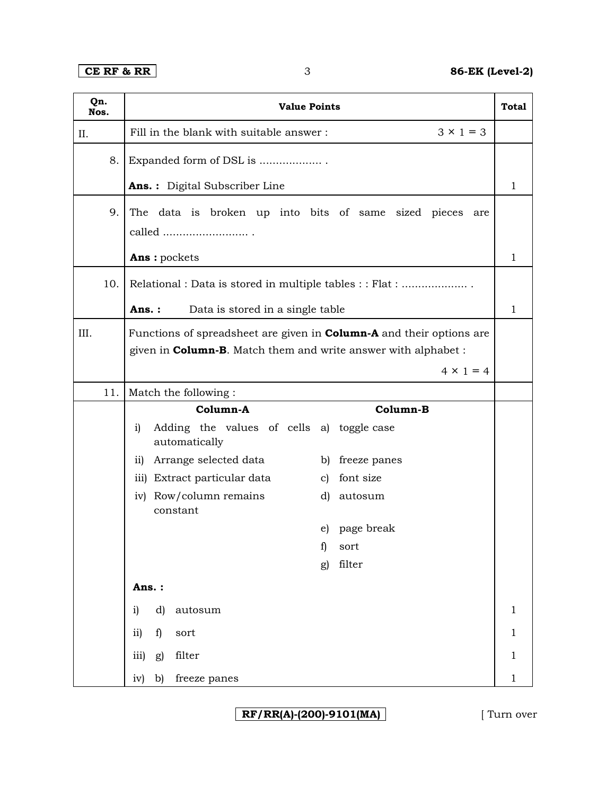| Qn.<br>Nos. | <b>Value Points</b>                                                         |              |  |  |  |  |
|-------------|-----------------------------------------------------------------------------|--------------|--|--|--|--|
| II.         | $3 \times 1 = 3$<br>Fill in the blank with suitable answer:                 |              |  |  |  |  |
| 8.          | Expanded form of DSL is                                                     |              |  |  |  |  |
|             | Ans.: Digital Subscriber Line                                               | 1            |  |  |  |  |
| 9.          | The data is broken up into bits of same sized pieces are                    |              |  |  |  |  |
|             | called $\ldots\ldots\ldots\ldots\ldots\ldots\ldots\ldots$ .                 |              |  |  |  |  |
|             | Ans: pockets                                                                | $\mathbf{1}$ |  |  |  |  |
| 10.         | Relational : Data is stored in multiple tables : : Flat :                   |              |  |  |  |  |
|             | Ans.:<br>Data is stored in a single table                                   | 1            |  |  |  |  |
| III.        | Functions of spreadsheet are given in <b>Column-A</b> and their options are |              |  |  |  |  |
|             | given in <b>Column-B</b> . Match them and write answer with alphabet :      |              |  |  |  |  |
|             | $4 \times 1 = 4$                                                            |              |  |  |  |  |
| 11.         | Match the following:                                                        |              |  |  |  |  |
|             | Column-A<br>Column-B                                                        |              |  |  |  |  |
|             | Adding the values of cells a) toggle case<br>i)<br>automatically            |              |  |  |  |  |
|             | Arrange selected data<br>$\overline{11}$<br>b) freeze panes                 |              |  |  |  |  |
|             | iii) Extract particular data<br>c) font size                                |              |  |  |  |  |
|             | Row/column remains<br>iv)<br>d)<br>autosum<br>constant                      |              |  |  |  |  |
|             | e) page break                                                               |              |  |  |  |  |
|             | sort<br>1)                                                                  |              |  |  |  |  |
|             | filter<br>g)                                                                |              |  |  |  |  |
|             | Ans.:                                                                       |              |  |  |  |  |
|             | d)<br>autosum<br>i)                                                         | $\mathbf{1}$ |  |  |  |  |
|             | $\mathbf{ii}$<br>f<br>sort                                                  | $\mathbf{1}$ |  |  |  |  |
|             | filter<br>iii)<br>g)                                                        | $\mathbf{1}$ |  |  |  |  |
|             | freeze panes<br>iv)<br>b)                                                   | $\mathbf{1}$ |  |  |  |  |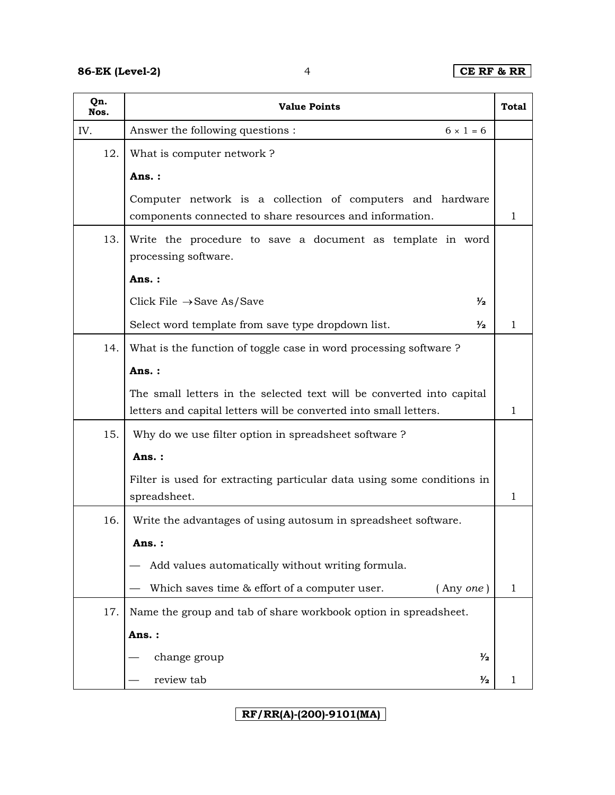| Qn.<br>Nos. | <b>Value Points</b>                                                                                                                        |              |  |  |  |  |
|-------------|--------------------------------------------------------------------------------------------------------------------------------------------|--------------|--|--|--|--|
| IV.         | Answer the following questions:<br>$6 \times 1 = 6$                                                                                        |              |  |  |  |  |
| 12.         | What is computer network?                                                                                                                  |              |  |  |  |  |
|             | Ans.:                                                                                                                                      |              |  |  |  |  |
|             | Computer network is a collection of computers and hardware<br>components connected to share resources and information.                     | 1            |  |  |  |  |
| 13.         | Write the procedure to save a document as template in word<br>processing software.                                                         |              |  |  |  |  |
|             | Ans.:                                                                                                                                      |              |  |  |  |  |
|             | Click File $\rightarrow$ Save As/Save<br>⅓                                                                                                 |              |  |  |  |  |
|             | Select word template from save type dropdown list.<br>$\frac{1}{2}$                                                                        | $\mathbf{1}$ |  |  |  |  |
| 14.         | What is the function of toggle case in word processing software?                                                                           |              |  |  |  |  |
|             | Ans.:                                                                                                                                      |              |  |  |  |  |
|             | The small letters in the selected text will be converted into capital<br>letters and capital letters will be converted into small letters. |              |  |  |  |  |
| 15.         | Why do we use filter option in spreadsheet software?                                                                                       |              |  |  |  |  |
|             | Ans.:                                                                                                                                      |              |  |  |  |  |
|             | Filter is used for extracting particular data using some conditions in<br>spreadsheet.                                                     | 1            |  |  |  |  |
| 16.         | Write the advantages of using autosum in spreadsheet software.                                                                             |              |  |  |  |  |
|             | Ans. :                                                                                                                                     |              |  |  |  |  |
|             | Add values automatically without writing formula.                                                                                          |              |  |  |  |  |
|             | Which saves time & effort of a computer user.<br>(Any one)                                                                                 | 1            |  |  |  |  |
| 17.         | Name the group and tab of share workbook option in spreadsheet.                                                                            |              |  |  |  |  |
|             | Ans.:                                                                                                                                      |              |  |  |  |  |
|             | $\frac{1}{2}$<br>change group                                                                                                              |              |  |  |  |  |
|             | review tab<br>$\frac{1}{2}$                                                                                                                | 1            |  |  |  |  |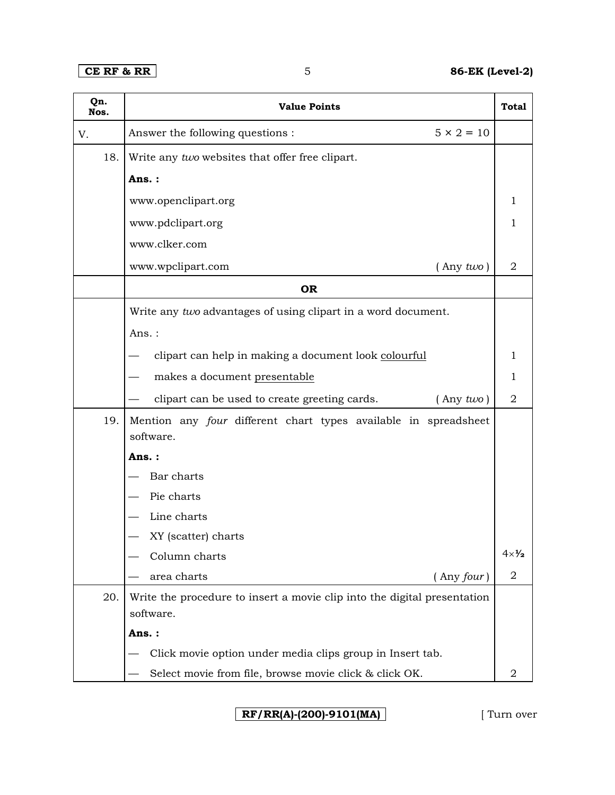| Qn.<br>Nos. | <b>Value Points</b>                                                                   |                      |  |  |  |  |
|-------------|---------------------------------------------------------------------------------------|----------------------|--|--|--|--|
| V.          | $5 \times 2 = 10$<br>Answer the following questions :                                 |                      |  |  |  |  |
| 18.         | Write any two websites that offer free clipart.                                       |                      |  |  |  |  |
|             | Ans.:                                                                                 |                      |  |  |  |  |
|             | www.openclipart.org                                                                   | 1                    |  |  |  |  |
|             | www.pdclipart.org                                                                     | 1                    |  |  |  |  |
|             | www.clker.com                                                                         |                      |  |  |  |  |
|             | $($ Any $two)$<br>www.wpclipart.com                                                   | $\overline{2}$       |  |  |  |  |
|             | <b>OR</b>                                                                             |                      |  |  |  |  |
|             | Write any two advantages of using clipart in a word document.                         |                      |  |  |  |  |
|             | Ans.:                                                                                 |                      |  |  |  |  |
|             | clipart can help in making a document look colourful                                  |                      |  |  |  |  |
|             | makes a document presentable                                                          | 1                    |  |  |  |  |
|             | clipart can be used to create greeting cards.<br>$($ Any $two)$                       |                      |  |  |  |  |
| 19.         | Mention any four different chart types available in spreadsheet                       |                      |  |  |  |  |
|             | software.                                                                             |                      |  |  |  |  |
|             | Ans. :                                                                                |                      |  |  |  |  |
|             | Bar charts                                                                            |                      |  |  |  |  |
|             | Pie charts                                                                            |                      |  |  |  |  |
|             | Line charts                                                                           |                      |  |  |  |  |
|             | XY (scatter) charts                                                                   |                      |  |  |  |  |
|             | Column charts                                                                         | $4\times\frac{1}{2}$ |  |  |  |  |
|             | area charts<br>(Any four)                                                             | 2                    |  |  |  |  |
| 20.         | Write the procedure to insert a movie clip into the digital presentation<br>software. |                      |  |  |  |  |
|             | Ans.:                                                                                 |                      |  |  |  |  |
|             | Click movie option under media clips group in Insert tab.                             |                      |  |  |  |  |
|             | Select movie from file, browse movie click & click OK.                                | 2                    |  |  |  |  |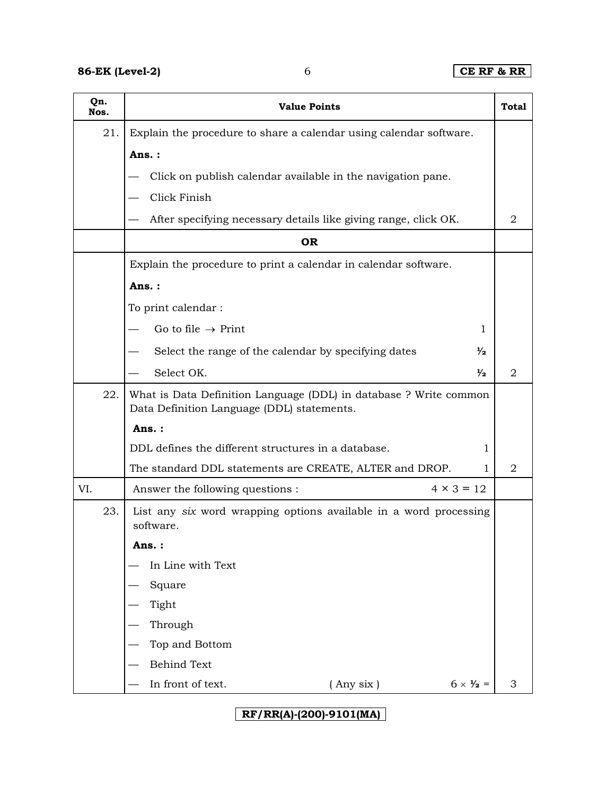| Qn.<br>Nos. | <b>Value Points</b><br>Total                                                                                    |                          |   |  |  |  |
|-------------|-----------------------------------------------------------------------------------------------------------------|--------------------------|---|--|--|--|
| 21.         | Explain the procedure to share a calendar using calendar software.                                              |                          |   |  |  |  |
|             | Ans.:                                                                                                           |                          |   |  |  |  |
|             | Click on publish calendar available in the navigation pane.                                                     |                          |   |  |  |  |
|             | Click Finish                                                                                                    |                          |   |  |  |  |
|             | After specifying necessary details like giving range, click OK.                                                 |                          | 2 |  |  |  |
|             | <b>OR</b>                                                                                                       |                          |   |  |  |  |
|             | Explain the procedure to print a calendar in calendar software.                                                 |                          |   |  |  |  |
|             | Ans.:                                                                                                           |                          |   |  |  |  |
|             | To print calendar :                                                                                             |                          |   |  |  |  |
|             | Go to file $\rightarrow$ Print                                                                                  | 1                        |   |  |  |  |
|             | Select the range of the calendar by specifying dates                                                            | $\frac{1}{2}$            |   |  |  |  |
|             | Select OK.                                                                                                      | $\frac{1}{2}$            | 2 |  |  |  |
| 22.         | What is Data Definition Language (DDL) in database ? Write common<br>Data Definition Language (DDL) statements. |                          |   |  |  |  |
|             | Ans.:                                                                                                           |                          |   |  |  |  |
|             | DDL defines the different structures in a database.                                                             | 1                        |   |  |  |  |
|             | The standard DDL statements are CREATE, ALTER and DROP.                                                         | 1                        | 2 |  |  |  |
| VI.         | $4 \times 3 = 12$<br>Answer the following questions :                                                           |                          |   |  |  |  |
| 23.         | List any six word wrapping options available in a word processing<br>software.                                  |                          |   |  |  |  |
|             | : Ans.                                                                                                          |                          |   |  |  |  |
|             | In Line with Text                                                                                               |                          |   |  |  |  |
|             | Square                                                                                                          |                          |   |  |  |  |
|             | Tight                                                                                                           |                          |   |  |  |  |
|             | Through                                                                                                         |                          |   |  |  |  |
|             | Top and Bottom                                                                                                  |                          |   |  |  |  |
|             | <b>Behind Text</b>                                                                                              |                          |   |  |  |  |
|             | $($ Any six $)$<br>In front of text.                                                                            | $6 \times \frac{1}{2}$ = | 3 |  |  |  |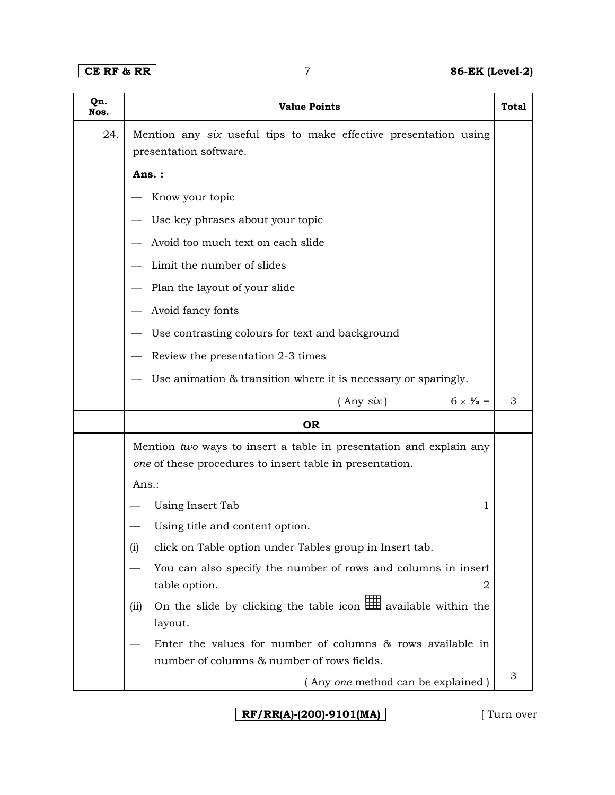| Qn.<br>Nos. | <b>Value Points</b>                                                                                                            | Total |  |  |  |
|-------------|--------------------------------------------------------------------------------------------------------------------------------|-------|--|--|--|
| 24.         | Mention any six useful tips to make effective presentation using                                                               |       |  |  |  |
|             | presentation software.                                                                                                         |       |  |  |  |
|             | Ans.:                                                                                                                          |       |  |  |  |
|             | Know your topic                                                                                                                |       |  |  |  |
|             | Use key phrases about your topic                                                                                               |       |  |  |  |
|             | Avoid too much text on each slide                                                                                              |       |  |  |  |
|             | Limit the number of slides                                                                                                     |       |  |  |  |
|             | Plan the layout of your slide                                                                                                  |       |  |  |  |
|             | Avoid fancy fonts                                                                                                              |       |  |  |  |
|             | Use contrasting colours for text and background                                                                                |       |  |  |  |
|             | Review the presentation 2-3 times                                                                                              |       |  |  |  |
|             | Use animation & transition where it is necessary or sparingly.                                                                 |       |  |  |  |
|             | $6 \times \frac{1}{2} =$<br>$($ Any $six)$                                                                                     | 3     |  |  |  |
|             | <b>OR</b>                                                                                                                      |       |  |  |  |
|             | Mention two ways to insert a table in presentation and explain any<br>one of these procedures to insert table in presentation. |       |  |  |  |
|             | Ans.:                                                                                                                          |       |  |  |  |
|             | Using Insert Tab<br>1                                                                                                          |       |  |  |  |
|             | Using title and content option.                                                                                                |       |  |  |  |
|             | click on Table option under Tables group in Insert tab.<br>(i)                                                                 |       |  |  |  |
|             | You can also specify the number of rows and columns in insert                                                                  |       |  |  |  |
|             | table option.<br>2                                                                                                             |       |  |  |  |
|             | On the slide by clicking the table icon <b>HH</b> available within the<br>(iii)<br>layout.                                     |       |  |  |  |
|             | Enter the values for number of columns & rows available in                                                                     |       |  |  |  |
|             | number of columns & number of rows fields.                                                                                     |       |  |  |  |
|             | (Any one method can be explained)                                                                                              | 3     |  |  |  |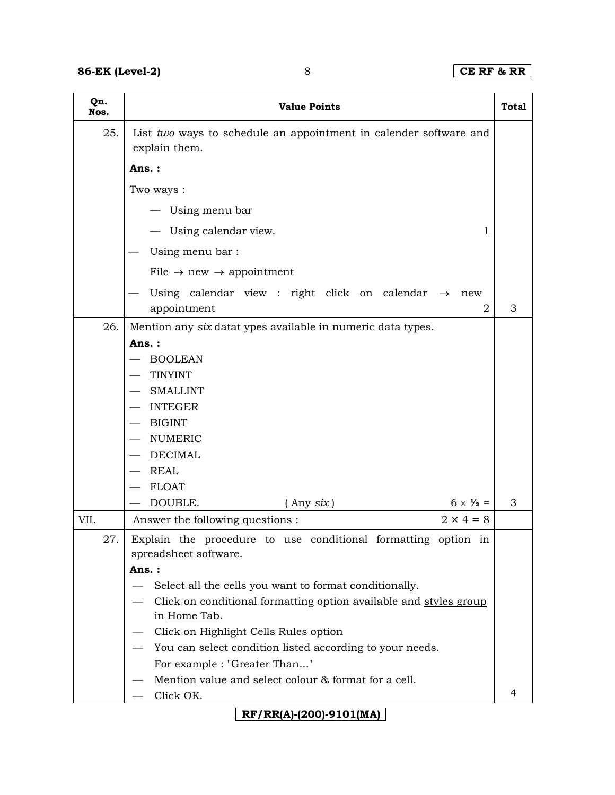| Qn.<br>Nos. | <b>Value Points</b><br><b>Total</b>                                                    |   |  |  |  |  |
|-------------|----------------------------------------------------------------------------------------|---|--|--|--|--|
| 25.         | List two ways to schedule an appointment in calender software and<br>explain them.     |   |  |  |  |  |
|             | Ans.:                                                                                  |   |  |  |  |  |
|             | Two ways:                                                                              |   |  |  |  |  |
|             | — Using menu bar                                                                       |   |  |  |  |  |
|             | - Using calendar view.<br>1                                                            |   |  |  |  |  |
|             | Using menu bar:                                                                        |   |  |  |  |  |
|             | File $\rightarrow$ new $\rightarrow$ appointment                                       |   |  |  |  |  |
|             | Using calendar view : right click on calendar $\rightarrow$<br>new<br>appointment<br>2 | 3 |  |  |  |  |
| 26.         | Mention any six datat ypes available in numeric data types.                            |   |  |  |  |  |
|             | Ans.:                                                                                  |   |  |  |  |  |
|             | <b>BOOLEAN</b>                                                                         |   |  |  |  |  |
|             | <b>TINYINT</b>                                                                         |   |  |  |  |  |
|             | <b>SMALLINT</b>                                                                        |   |  |  |  |  |
|             | <b>INTEGER</b>                                                                         |   |  |  |  |  |
|             | <b>BIGINT</b>                                                                          |   |  |  |  |  |
|             | <b>NUMERIC</b>                                                                         |   |  |  |  |  |
|             | <b>DECIMAL</b><br><b>REAL</b>                                                          |   |  |  |  |  |
|             | <b>FLOAT</b>                                                                           |   |  |  |  |  |
|             | DOUBLE.<br>$($ Any $six)$<br>$6 \times \frac{1}{2}$ =                                  | 3 |  |  |  |  |
| VII.        | $2 \times 4 = 8$<br>Answer the following questions :                                   |   |  |  |  |  |
| 27.         |                                                                                        |   |  |  |  |  |
|             | Explain the procedure to use conditional formatting option in<br>spreadsheet software. |   |  |  |  |  |
|             | Ans.:                                                                                  |   |  |  |  |  |
|             | Select all the cells you want to format conditionally.                                 |   |  |  |  |  |
|             | Click on conditional formatting option available and styles group                      |   |  |  |  |  |
|             | in Home Tab.                                                                           |   |  |  |  |  |
|             | Click on Highlight Cells Rules option                                                  |   |  |  |  |  |
|             | You can select condition listed according to your needs.                               |   |  |  |  |  |
|             | For example : "Greater Than"                                                           |   |  |  |  |  |
|             | Mention value and select colour & format for a cell.                                   |   |  |  |  |  |
|             | Click OK.                                                                              | 4 |  |  |  |  |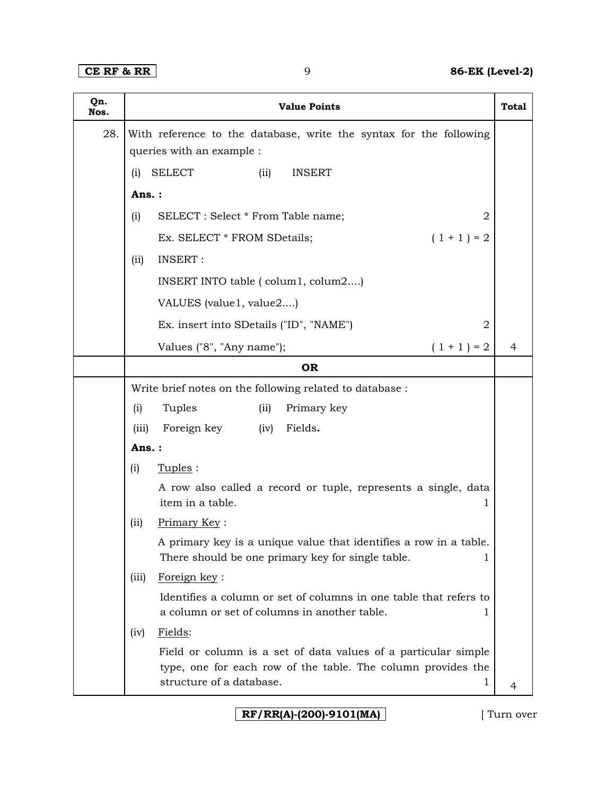| Qn.<br>Nos. |                           | <b>Value Points</b>                                                                                                            | <b>Total</b> |  |  |  |
|-------------|---------------------------|--------------------------------------------------------------------------------------------------------------------------------|--------------|--|--|--|
| 28.         |                           | With reference to the database, write the syntax for the following                                                             |              |  |  |  |
|             | queries with an example : |                                                                                                                                |              |  |  |  |
|             | (i)                       | <b>SELECT</b><br><b>INSERT</b><br>(ii)                                                                                         |              |  |  |  |
|             | Ans.:                     |                                                                                                                                |              |  |  |  |
|             | (i)                       | SELECT : Select * From Table name;<br>$\overline{2}$                                                                           |              |  |  |  |
|             |                           | $(1 + 1) = 2$<br>Ex. SELECT * FROM SDetails;                                                                                   |              |  |  |  |
|             | (iii)                     | <b>INSERT:</b>                                                                                                                 |              |  |  |  |
|             |                           | INSERT INTO table (colum1, colum2)                                                                                             |              |  |  |  |
|             |                           | VALUES (value1, value2)                                                                                                        |              |  |  |  |
|             |                           | Ex. insert into SDetails ("ID", "NAME")<br>2                                                                                   |              |  |  |  |
|             |                           | Values ("8", "Any name");<br>$(1 + 1) = 2$                                                                                     | 4            |  |  |  |
|             |                           | <b>OR</b>                                                                                                                      |              |  |  |  |
|             |                           | Write brief notes on the following related to database :                                                                       |              |  |  |  |
|             | (i)                       | Tuples<br>Primary key<br>(ii)                                                                                                  |              |  |  |  |
|             | (iii)                     | Foreign key<br>Fields.<br>(iv)                                                                                                 |              |  |  |  |
|             | Ans.:                     |                                                                                                                                |              |  |  |  |
|             | (i)                       | Tuples:                                                                                                                        |              |  |  |  |
|             |                           | A row also called a record or tuple, represents a single, data<br>item in a table.<br>1                                        |              |  |  |  |
|             | (iii)                     | Primary Key:                                                                                                                   |              |  |  |  |
|             |                           | A primary key is a unique value that identifies a row in a table.<br>There should be one primary key for single table.<br>1    |              |  |  |  |
|             | (iii)                     | Foreign key:                                                                                                                   |              |  |  |  |
|             |                           | Identifies a column or set of columns in one table that refers to<br>a column or set of columns in another table.              |              |  |  |  |
|             | (iv)                      | Fields:                                                                                                                        |              |  |  |  |
|             |                           | Field or column is a set of data values of a particular simple<br>type, one for each row of the table. The column provides the |              |  |  |  |
|             |                           | structure of a database.                                                                                                       | 4            |  |  |  |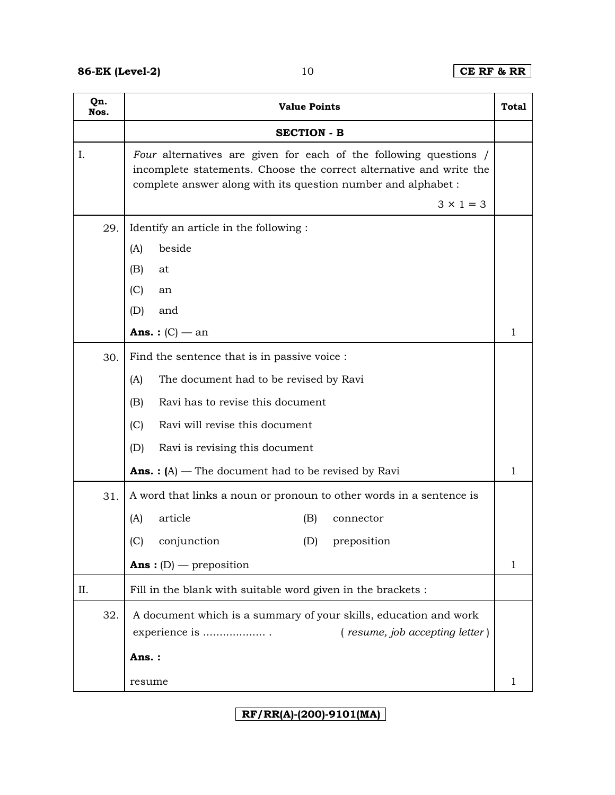| Qn.<br>Nos. | <b>Value Points</b>                                                                                                                                                                                                           |              |  |  |  |
|-------------|-------------------------------------------------------------------------------------------------------------------------------------------------------------------------------------------------------------------------------|--------------|--|--|--|
|             | <b>SECTION - B</b>                                                                                                                                                                                                            |              |  |  |  |
| I.          | Four alternatives are given for each of the following questions /<br>incomplete statements. Choose the correct alternative and write the<br>complete answer along with its question number and alphabet :<br>$3 \times 1 = 3$ |              |  |  |  |
| 29.         | Identify an article in the following :                                                                                                                                                                                        |              |  |  |  |
|             | beside<br>(A)                                                                                                                                                                                                                 |              |  |  |  |
|             | (B)<br>at                                                                                                                                                                                                                     |              |  |  |  |
|             | (C)<br>an                                                                                                                                                                                                                     |              |  |  |  |
|             | (D)<br>and                                                                                                                                                                                                                    |              |  |  |  |
|             | <b>Ans.</b> : $(C)$ — an                                                                                                                                                                                                      | 1            |  |  |  |
| 30.         | Find the sentence that is in passive voice :                                                                                                                                                                                  |              |  |  |  |
|             | The document had to be revised by Ravi<br>(A)                                                                                                                                                                                 |              |  |  |  |
|             | Ravi has to revise this document<br>(B)                                                                                                                                                                                       |              |  |  |  |
|             | Ravi will revise this document<br>(C)                                                                                                                                                                                         |              |  |  |  |
|             | Ravi is revising this document<br>(D)                                                                                                                                                                                         |              |  |  |  |
|             | <b>Ans.</b> : $(A)$ – The document had to be revised by Ravi                                                                                                                                                                  | 1            |  |  |  |
| 31.         | A word that links a noun or pronoun to other words in a sentence is                                                                                                                                                           |              |  |  |  |
|             | article<br>(A)<br>(B)<br>connector                                                                                                                                                                                            |              |  |  |  |
|             | (C)<br>conjunction<br>(D) preposition                                                                                                                                                                                         |              |  |  |  |
|             | <b>Ans</b> : $(D)$ — preposition                                                                                                                                                                                              | $\mathbf{1}$ |  |  |  |
| II.         | Fill in the blank with suitable word given in the brackets :                                                                                                                                                                  |              |  |  |  |
| 32.         | A document which is a summary of your skills, education and work<br>experience is<br>(resume, job accepting letter)                                                                                                           |              |  |  |  |
|             | Ans.:                                                                                                                                                                                                                         |              |  |  |  |
|             | resume                                                                                                                                                                                                                        | 1            |  |  |  |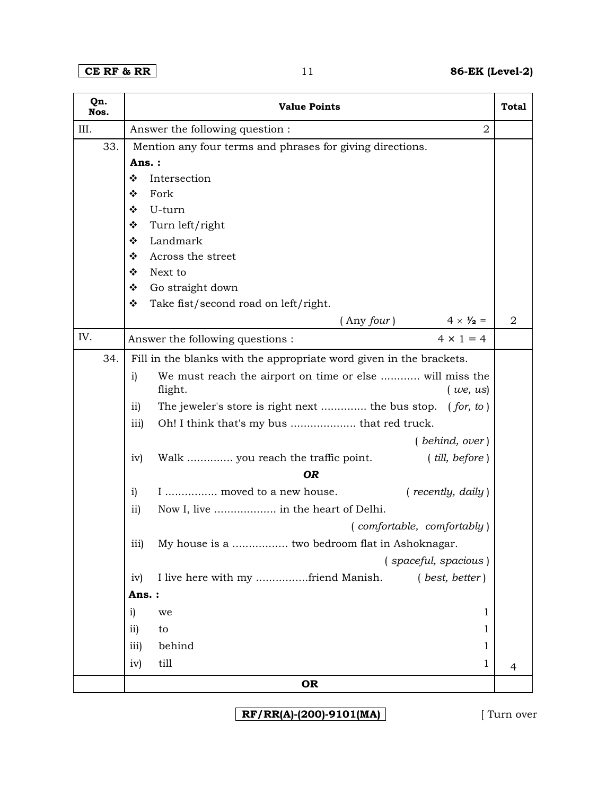## **CE RF & RR** 11 **86-EK (Level-2)**

| Qn.<br>Nos. | <b>Value Points</b><br><b>Total</b>                                           |                |  |  |  |
|-------------|-------------------------------------------------------------------------------|----------------|--|--|--|
| III.        | Answer the following question :<br>$\overline{2}$                             |                |  |  |  |
| 33.         | Mention any four terms and phrases for giving directions.                     |                |  |  |  |
|             | Ans.:                                                                         |                |  |  |  |
|             | ❖<br>Intersection                                                             |                |  |  |  |
|             | Fork<br>❖                                                                     |                |  |  |  |
|             | U-turn<br>❖                                                                   |                |  |  |  |
|             | ❖<br>Turn left/right                                                          |                |  |  |  |
|             | Landmark<br>❖                                                                 |                |  |  |  |
|             | ❖<br>Across the street                                                        |                |  |  |  |
|             | Next to<br>❖                                                                  |                |  |  |  |
|             | ❖<br>Go straight down                                                         |                |  |  |  |
|             | ❖<br>Take fist/second road on left/right.                                     |                |  |  |  |
|             | $4 \times \frac{1}{2} =$<br>$($ Any $four)$                                   | $\overline{2}$ |  |  |  |
| IV.         | $4 \times 1 = 4$<br>Answer the following questions :                          |                |  |  |  |
| 34.         | Fill in the blanks with the appropriate word given in the brackets.           |                |  |  |  |
|             | We must reach the airport on time or else  will miss the<br>i)                |                |  |  |  |
|             | flight.<br>(we, us)                                                           |                |  |  |  |
|             | The jeweler's store is right next  the bus stop. (for, to)<br>$\overline{11}$ |                |  |  |  |
|             | Oh! I think that's my bus  that red truck.<br>iii)                            |                |  |  |  |
|             | (behind, over)                                                                |                |  |  |  |
|             | Walk  you reach the traffic point.<br>(iill, before)<br>iv)                   |                |  |  |  |
|             | <b>OR</b>                                                                     |                |  |  |  |
|             | I  moved to a new house.<br>( recently, daily)<br>i)                          |                |  |  |  |
|             | ii)<br>Now I, live  in the heart of Delhi.                                    |                |  |  |  |
|             | (comfortable, comfortably)                                                    |                |  |  |  |
|             | My house is a  two bedroom flat in Ashoknagar.<br>$\overline{111}$            |                |  |  |  |
|             | (spaceful, spacious)                                                          |                |  |  |  |
|             | I live here with my friend Manish.<br>( best, better)<br>iv)                  |                |  |  |  |
|             | Ans.:                                                                         |                |  |  |  |
|             | i)<br>1<br>we                                                                 |                |  |  |  |
|             | $\overline{11}$<br>1                                                          |                |  |  |  |
|             | to                                                                            |                |  |  |  |
|             | behind<br>iii)<br>1                                                           |                |  |  |  |
|             | till<br>iv)<br>1                                                              | 4              |  |  |  |
|             | <b>OR</b>                                                                     |                |  |  |  |